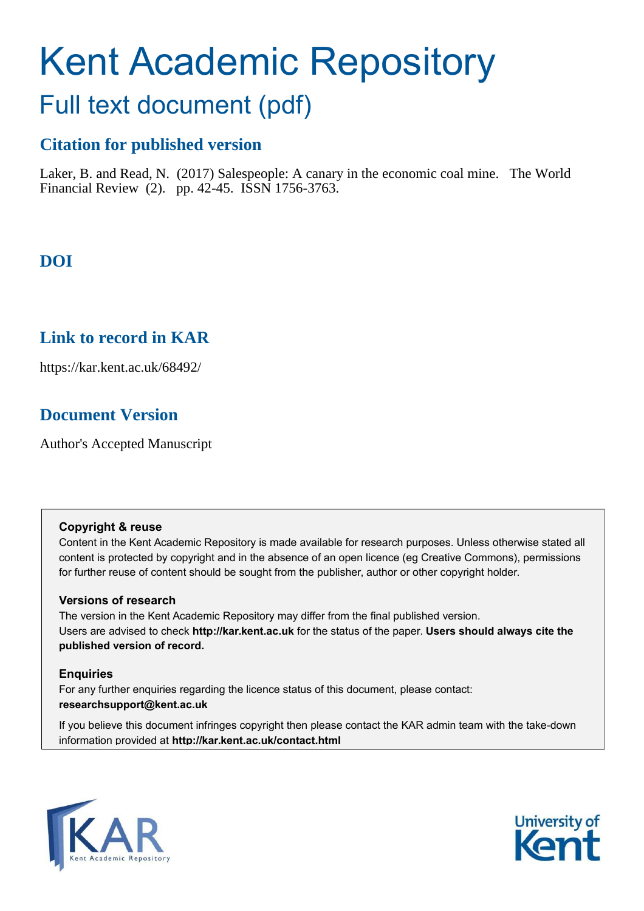# Kent Academic Repository

## Full text document (pdf)

### **Citation for published version**

Laker, B. and Read, N. (2017) Salespeople: A canary in the economic coal mine. The World Financial Review (2). pp. 42-45. ISSN 1756-3763.

## **DOI**

## **Link to record in KAR**

https://kar.kent.ac.uk/68492/

## **Document Version**

Author's Accepted Manuscript

#### **Copyright & reuse**

Content in the Kent Academic Repository is made available for research purposes. Unless otherwise stated all content is protected by copyright and in the absence of an open licence (eg Creative Commons), permissions for further reuse of content should be sought from the publisher, author or other copyright holder.

#### **Versions of research**

The version in the Kent Academic Repository may differ from the final published version. Users are advised to check **http://kar.kent.ac.uk** for the status of the paper. **Users should always cite the published version of record.**

#### **Enquiries**

For any further enquiries regarding the licence status of this document, please contact: **researchsupport@kent.ac.uk**

If you believe this document infringes copyright then please contact the KAR admin team with the take-down information provided at **http://kar.kent.ac.uk/contact.html**



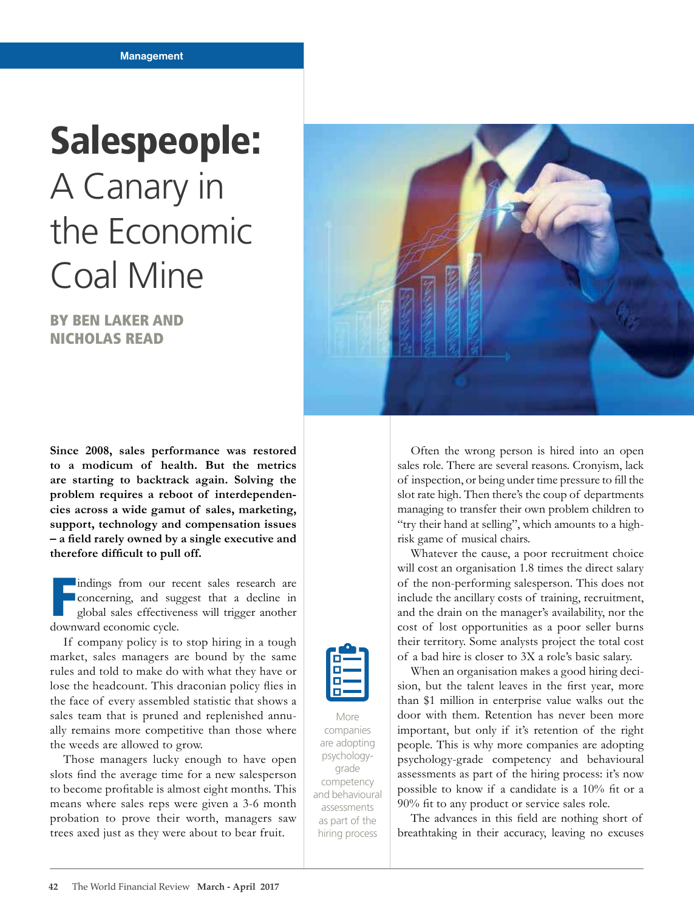## Salespeople: A Canary in the Economic Coal Mine

BY BEN LAKER AND NICHOLAS READ

**Since 2008, sales performance was restored to a modicum of health. But the metrics are starting to backtrack again. Solving the problem requires a reboot of interdependencies across a wide gamut of sales, marketing, support, technology and compensation issues – a ield rarely owned by a single executive and therefore dificult to pull off.**

F indings from our recent sales research are concerning, and suggest that a decline in global sales effectiveness will trigger another downward economic cycle.

If company policy is to stop hiring in a tough market, sales managers are bound by the same rules and told to make do with what they have or lose the headcount. This draconian policy flies in the face of every assembled statistic that shows a sales team that is pruned and replenished annually remains more competitive than those where the weeds are allowed to grow.

Those managers lucky enough to have open slots find the average time for a new salesperson to become profitable is almost eight months. This means where sales reps were given a 3-6 month probation to prove their worth, managers saw trees axed just as they were about to bear fruit.



Often the wrong person is hired into an open sales role. There are several reasons. Cronyism, lack of inspection, or being under time pressure to fill the slot rate high. Then there's the coup of departments managing to transfer their own problem children to "try their hand at selling", which amounts to a highrisk game of musical chairs.

Whatever the cause, a poor recruitment choice will cost an organisation 1.8 times the direct salary of the non-performing salesperson. This does not include the ancillary costs of training, recruitment, and the drain on the manager's availability, nor the cost of lost opportunities as a poor seller burns their territory. Some analysts project the total cost of a bad hire is closer to 3X a role's basic salary.

When an organisation makes a good hiring decision, but the talent leaves in the first year, more than \$1 million in enterprise value walks out the door with them. Retention has never been more important, but only if it's retention of the right people. This is why more companies are adopting psychology-grade competency and behavioural assessments as part of the hiring process: it's now possible to know if a candidate is a  $10\%$  fit or a 90% fit to any product or service sales role.

The advances in this field are nothing short of breathtaking in their accuracy, leaving no excuses



More

companies are adopting psychologygrade competency and behavioural assessments as part of the hiring process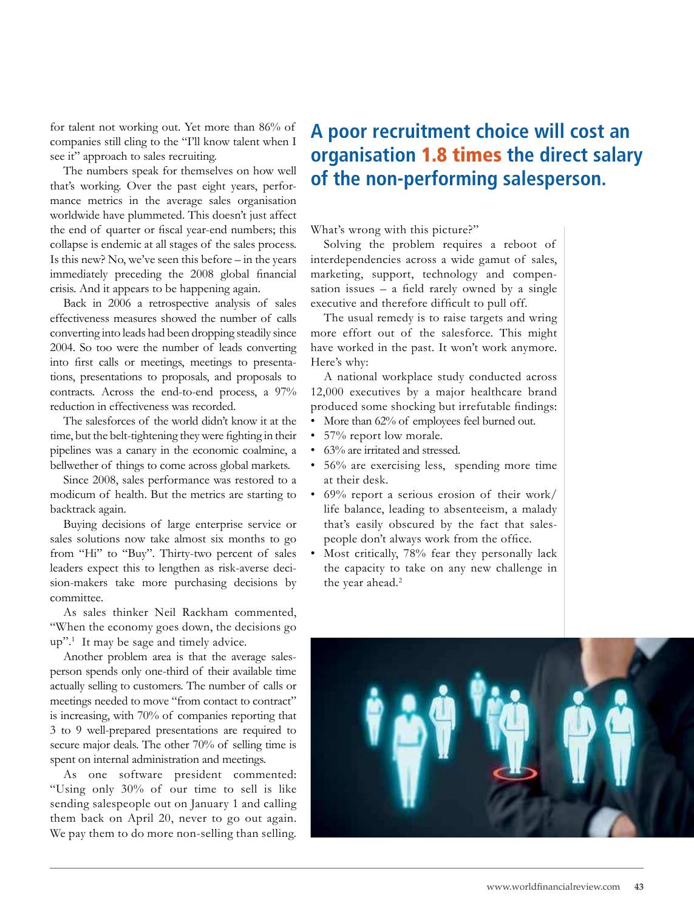for talent not working out. Yet more than 86% of companies still cling to the "I'll know talent when I see it" approach to sales recruiting.

The numbers speak for themselves on how well that's working. Over the past eight years, performance metrics in the average sales organisation worldwide have plummeted. This doesn't just affect the end of quarter or fiscal year-end numbers; this collapse is endemic at all stages of the sales process. Is this new? No, we've seen this before – in the years immediately preceding the 2008 global financial crisis. And it appears to be happening again.

Back in 2006 a retrospective analysis of sales effectiveness measures showed the number of calls converting into leads had been dropping steadily since 2004. So too were the number of leads converting into first calls or meetings, meetings to presentations, presentations to proposals, and proposals to contracts. Across the end-to-end process, a 97% reduction in effectiveness was recorded.

The salesforces of the world didn't know it at the time, but the belt-tightening they were fighting in their pipelines was a canary in the economic coalmine, a bellwether of things to come across global markets.

Since 2008, sales performance was restored to a modicum of health. But the metrics are starting to backtrack again.

Buying decisions of large enterprise service or sales solutions now take almost six months to go from "Hi" to "Buy". Thirty-two percent of sales leaders expect this to lengthen as risk-averse decision-makers take more purchasing decisions by committee.

As sales thinker Neil Rackham commented, "When the economy goes down, the decisions go up".<sup>1</sup> It may be sage and timely advice.

Another problem area is that the average salesperson spends only one-third of their available time actually selling to customers. The number of calls or meetings needed to move "from contact to contract" is increasing, with 70% of companies reporting that 3 to 9 well-prepared presentations are required to secure major deals. The other 70% of selling time is spent on internal administration and meetings.

As one software president commented: "Using only 30% of our time to sell is like sending salespeople out on January 1 and calling them back on April 20, never to go out again. We pay them to do more non-selling than selling.

## **A poor recruitment choice will cost an organisation** 1.8 times **the direct salary of the non-performing salesperson.**

What's wrong with this picture?"

Solving the problem requires a reboot of interdependencies across a wide gamut of sales, marketing, support, technology and compensation issues – a field rarely owned by a single executive and therefore dificult to pull off.

The usual remedy is to raise targets and wring more effort out of the salesforce. This might have worked in the past. It won't work anymore. Here's why:

A national workplace study conducted across 12,000 executives by a major healthcare brand produced some shocking but irrefutable findings:

- More than 62% of employees feel burned out.
- 57% report low morale.
- 63% are irritated and stressed.
- 56% are exercising less, spending more time at their desk.
- $\cdot$  69% report a serious erosion of their work/ life balance, leading to absenteeism, a malady that's easily obscured by the fact that salespeople don't always work from the ofice.
- Most critically, 78% fear they personally lack the capacity to take on any new challenge in the year ahead.<sup>2</sup>

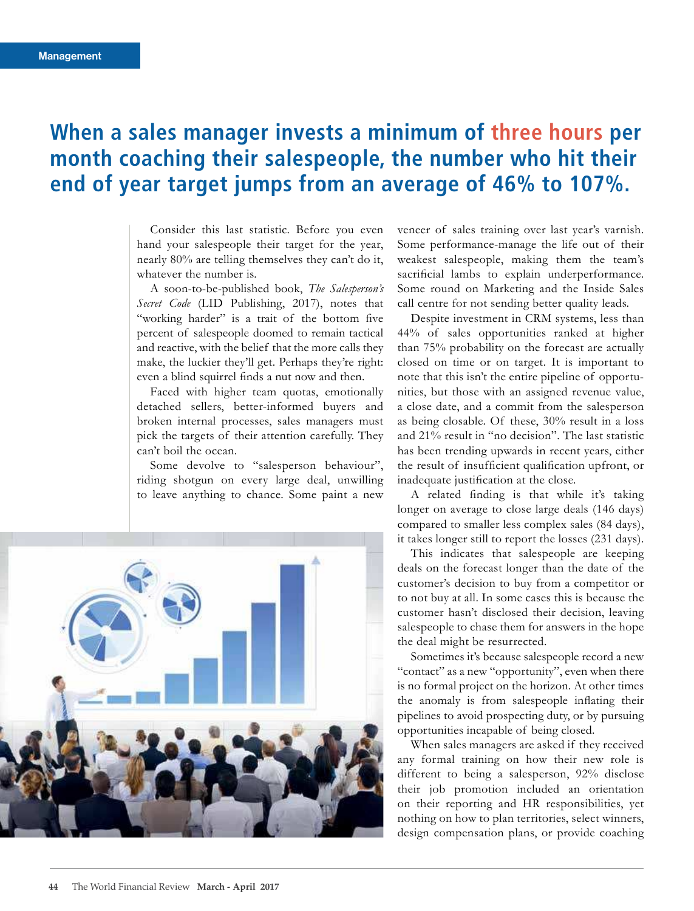## **When a sales manager invests a minimum of three hours per month coaching their salespeople, the number who hit their end of year target jumps from an average of 46% to 107%.**

Consider this last statistic. Before you even hand your salespeople their target for the year, nearly 80% are telling themselves they can't do it, whatever the number is.

A soon-to-be-published book, *The Salespersonís Secret Code* (LID Publishing, 2017), notes that "working harder" is a trait of the bottom five percent of salespeople doomed to remain tactical and reactive, with the belief that the more calls they make, the luckier they'll get. Perhaps they're right: even a blind squirrel finds a nut now and then.

Faced with higher team quotas, emotionally detached sellers, better-informed buyers and broken internal processes, sales managers must pick the targets of their attention carefully. They can't boil the ocean.

Some devolve to "salesperson behaviour", riding shotgun on every large deal, unwilling to leave anything to chance. Some paint a new



veneer of sales training over last year's varnish. Some performance-manage the life out of their weakest salespeople, making them the team's sacrificial lambs to explain underperformance. Some round on Marketing and the Inside Sales call centre for not sending better quality leads.

Despite investment in CRM systems, less than 44% of sales opportunities ranked at higher than 75% probability on the forecast are actually closed on time or on target. It is important to note that this isn't the entire pipeline of opportunities, but those with an assigned revenue value, a close date, and a commit from the salesperson as being closable. Of these, 30% result in a loss and 21% result in "no decision". The last statistic has been trending upwards in recent years, either the result of insufficient qualification upfront, or inadequate justification at the close.

A related finding is that while it's taking longer on average to close large deals (146 days) compared to smaller less complex sales (84 days), it takes longer still to report the losses (231 days).

This indicates that salespeople are keeping deals on the forecast longer than the date of the customer's decision to buy from a competitor or to not buy at all. In some cases this is because the customer hasn't disclosed their decision, leaving salespeople to chase them for answers in the hope the deal might be resurrected.

Sometimes it's because salespeople record a new "contact" as a new "opportunity", even when there is no formal project on the horizon. At other times the anomaly is from salespeople inlating their pipelines to avoid prospecting duty, or by pursuing opportunities incapable of being closed.

When sales managers are asked if they received any formal training on how their new role is different to being a salesperson, 92% disclose their job promotion included an orientation on their reporting and HR responsibilities, yet nothing on how to plan territories, select winners, design compensation plans, or provide coaching